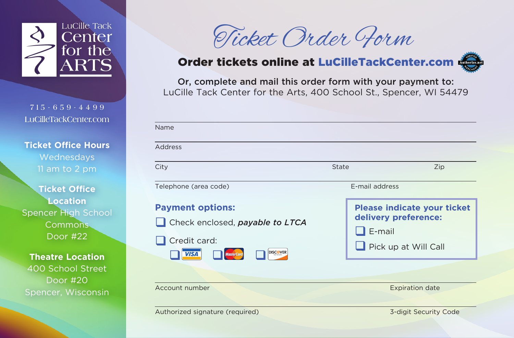

**715 - 659-4499 LuCilleTackCenter.com**

**Ticket Office Hours** Wednesdays 11 am to 2 pm

**Ticket Office Location** Spencer High School Commons Door #22

**Theatre Location** 400 School Street Door #20 Spencer, Wisconsin

| Ticket Order Form |  |  |
|-------------------|--|--|
|-------------------|--|--|

## Order tickets online at LuCilleTackCenter.com

Or, complete and mail this order form with your payment to: LuCille Tack Center for the Arts, 400 School St., Spencer, WI 54479

| Name                                                                                                         |                                                                                              |
|--------------------------------------------------------------------------------------------------------------|----------------------------------------------------------------------------------------------|
| Address                                                                                                      |                                                                                              |
| City                                                                                                         | State<br>Zip                                                                                 |
| Telephone (area code)                                                                                        | E-mail address                                                                               |
| <b>Payment options:</b><br>Check enclosed, payable to LTCA<br>Credit card:<br><b>DISCOVER</b><br><b>VISA</b> | <b>Please indicate your ticket</b><br>delivery preference:<br>E-mail<br>Pick up at Will Call |
| Account number                                                                                               | <b>Expiration date</b>                                                                       |
| Authorized signature (required)                                                                              | 3-digit Security Code                                                                        |